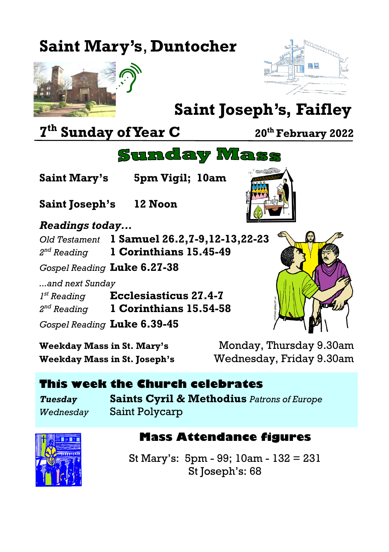## **Saint Mary's**, **Duntocher**





# **Saint Joseph's, Faifley**

**7 th Sunday of Year C <sup>20</sup>th February 2022**

### **Sunday Mass**

**Saint Mary's 5pm Vigil; 10am**

**Saint Joseph's 12 Noon**

#### *Readings today...*

*Old Testament* **1 Samuel 26.2,7-9,12-13,22-23** 2<sup>nd</sup> Reading *nd Reading* **1 Corinthians 15.45-49**

*Gospel Reading* **Luke 6.27-38**

*...and next Sunday 1 st Reading* **Ecclesiasticus 27.4-7** 2<sup>nd</sup> Reading *nd Reading* **1 Corinthians 15.54-58** *Gospel Reading* **Luke 6.39-45**

**Weekday Mass in St. Mary's** Monday, Thursday 9.30am **Weekday Mass in St. Joseph's** Wednesday, Friday 9.30am

#### **This week the Church celebrates**

*Tuesday* **Saints Cyril & Methodius** *Patrons of Europe Wednesday* Saint Polycarp



#### **Mass Attendance figures**

St Mary's: 5pm - 99; 10am - 132 = 231 St Joseph's: 68

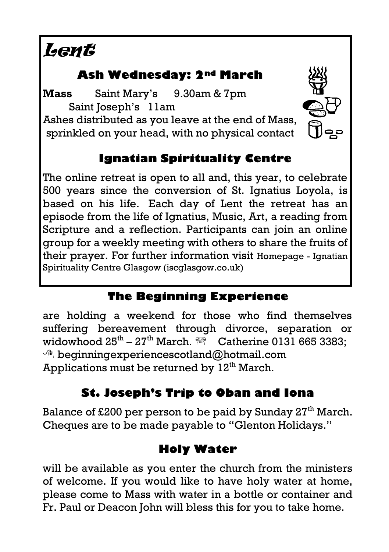# Lent

#### **Ash Wednesday: 2nd March**

**Mass** Saint Mary's 9.30am & 7pm Saint Joseph's 11am

Ashes distributed as you leave at the end of Mass, sprinkled on your head, with no physical contact



#### **Ignatian Spirituality Centre**

The online retreat is open to all and, this year, to celebrate 500 years since the conversion of St. Ignatius Loyola, is based on his life. Each day of Lent the retreat has an episode from the life of Ignatius, Music, Art, a reading from Scripture and a reflection. Participants can join an online group for a weekly meeting with others to share the fruits of their prayer. For further information visit [Homepage -](https://iscglasgow.co.uk/) Ignatian [Spirituality Centre Glasgow \(iscglasgow.co.uk\)](https://iscglasgow.co.uk/)

#### **The Beginning Experience**

are holding a weekend for those who find themselves suffering bereavement through divorce, separation or widowhood 25th – 27th March. Catherine 0131 665 3383;  $\Diamond$  [beginningexperiencescotland@hotmail.com](mailto:beginningexperiencescotland@hotmail.com) Applications must be returned by  $12<sup>th</sup>$  March.

#### **St. Joseph's Trip to Oban and Iona**

Balance of £200 per person to be paid by Sunday 27<sup>th</sup> March. Cheques are to be made payable to "Glenton Holidays."

#### **Holy Water**

will be available as you enter the church from the ministers of welcome. If you would like to have holy water at home, please come to Mass with water in a bottle or container and Fr. Paul or Deacon John will bless this for you to take home.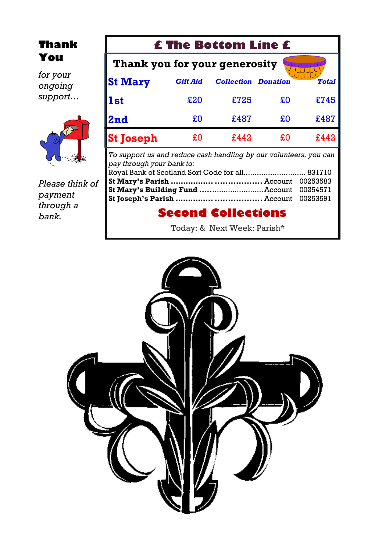#### **Thank You**

*for your ongoing support…*



*Please think of payment through a bank.*

| <b>£ The Bottom Line £</b>    |      |    |                            |
|-------------------------------|------|----|----------------------------|
| Thank you for your generosity |      |    |                            |
| <b>Gift Aid</b>               |      |    | <b>Total</b>               |
| £20                           | £725 | £0 | £745                       |
| £0                            | £487 | £O | £487                       |
| £O                            | £442 | £0 | £442                       |
|                               |      |    | <b>Collection Donation</b> |

*To support us and reduce cash handling by our volunteers, you can pay through your bank to:* Royal Bank of Scotland Sort Code for all.................................. 831710 **St Mary's Parish …………….. ..................** Account 00253583 **St Mary's Building Fund …..**.......................Account 00254571 **St Joseph's Parish …………... ..................** Account 00253591

#### **Second Collections**

Today: & Next Week: Parish\*